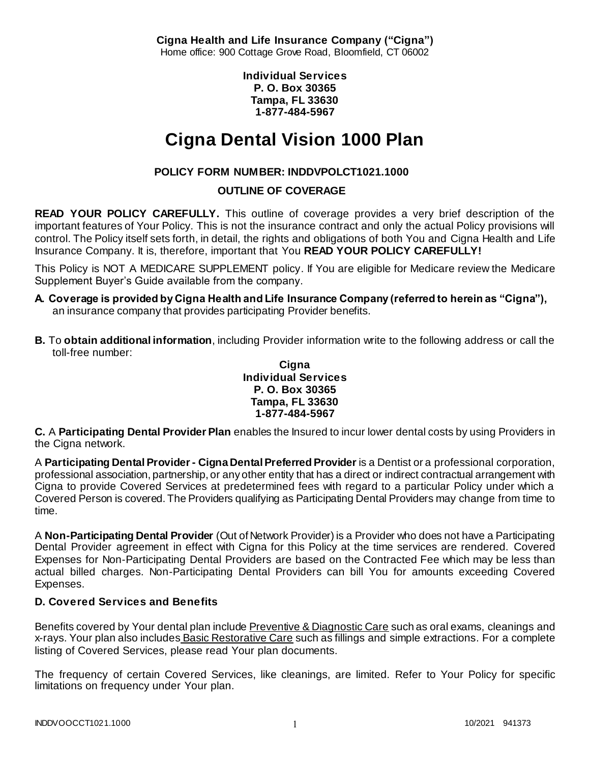**Cigna Health and Life Insurance Company ("Cigna")** Home office: 900 Cottage Grove Road, Bloomfield, CT 06002

> **Individual Services P. O. Box 30365 Tampa, FL 33630 1-877-484-5967**

# **Cigna Dental Vision 1000 Plan**

# **POLICY FORM NUMBER: INDDVPOLCT1021.1000**

# **OUTLINE OF COVERAGE**

**READ YOUR POLICY CAREFULLY.** This outline of coverage provides a very brief description of the important features of Your Policy. This is not the insurance contract and only the actual Policy provisions will control. The Policy itself sets forth, in detail, the rights and obligations of both You and Cigna Health and Life Insurance Company. It is, therefore, important that You **READ YOUR POLICY CAREFULLY!** 

This Policy is NOT A MEDICARE SUPPLEMENT policy. If You are eligible for Medicare review the Medicare Supplement Buyer's Guide available from the company.

- **A. Coverage is provided by Cigna Health and Life Insurance Company (referred to herein as "Cigna"),**  an insurance company that provides participating Provider benefits.
- **B.** To **obtain additional information**, including Provider information write to the following address or call the toll-free number:

### **Cigna Individual Services P. O. Box 30365 Tampa, FL 33630 1-877-484-5967**

**C.** A **Participating Dental Provider Plan** enables the Insured to incur lower dental costs by using Providers in the Cigna network.

A **Participating Dental Provider - Cigna Dental Preferred Provider** is a Dentist or a professional corporation, professional association, partnership, or any other entity that has a direct or indirect contractual arrangement with Cigna to provide Covered Services at predetermined fees with regard to a particular Policy under which a Covered Person is covered. The Providers qualifying as Participating Dental Providers may change from time to time.

A **Non-Participating Dental Provider** (Out of Network Provider) is a Provider who does not have a Participating Dental Provider agreement in effect with Cigna for this Policy at the time services are rendered. Covered Expenses for Non-Participating Dental Providers are based on the Contracted Fee which may be less than actual billed charges. Non-Participating Dental Providers can bill You for amounts exceeding Covered Expenses.

# **D. Covered Services and Benefits**

Benefits covered by Your dental plan include Preventive & Diagnostic Care such as oral exams, cleanings and x-rays. Your plan also includes Basic Restorative Care such as fillings and simple extractions. For a complete listing of Covered Services, please read Your plan documents.

The frequency of certain Covered Services, like cleanings, are limited. Refer to Your Policy for specific limitations on frequency under Your plan.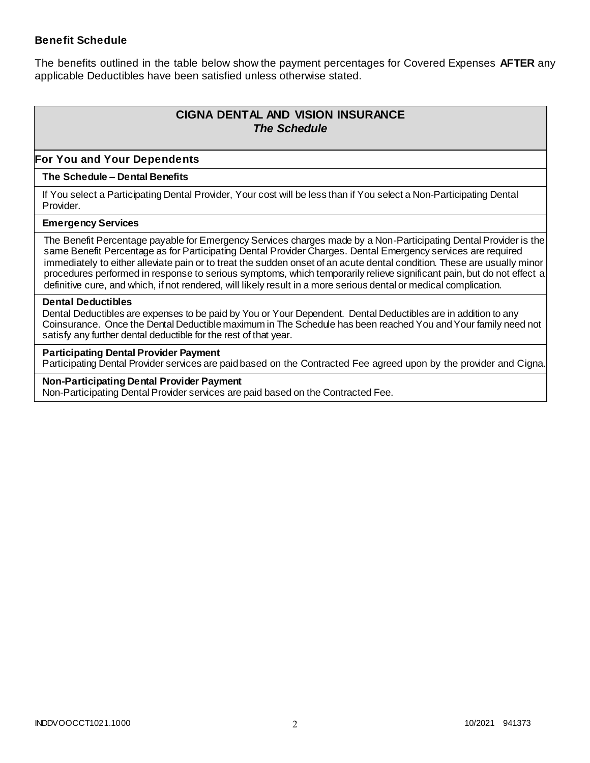### **Benefit Schedule**

The benefits outlined in the table below show the payment percentages for Covered Expenses **AFTER** any applicable Deductibles have been satisfied unless otherwise stated.

# **CIGNA DENTAL AND VISION INSURANCE** *The Schedule*

### **For You and Your Dependents**

#### **The Schedule – Dental Benefits**

If You select a Participating Dental Provider, Your cost will be less than if You select a Non-Participating Dental Provider.

#### **Emergency Services**

The Benefit Percentage payable for Emergency Services charges made by a Non-Participating Dental Provider is the same Benefit Percentage as for Participating Dental Provider Charges. Dental Emergency services are required immediately to either alleviate pain or to treat the sudden onset of an acute dental condition. These are usually minor procedures performed in response to serious symptoms, which temporarily relieve significant pain, but do not effect a definitive cure, and which, if not rendered, will likely result in a more serious dental or medical complication.

#### **Dental Deductibles**

Dental Deductibles are expenses to be paid by You or Your Dependent. Dental Deductibles are in addition to any Coinsurance. Once the Dental Deductible maximum in The Schedule has been reached You and Your family need not satisfy any further dental deductible for the rest of that year.

#### **Participating Dental Provider Payment**

Participating Dental Provider services are paid based on the Contracted Fee agreed upon by the provider and Cigna.

**Non-Participating Dental Provider Payment** Non-Participating Dental Provider services are paid based on the Contracted Fee.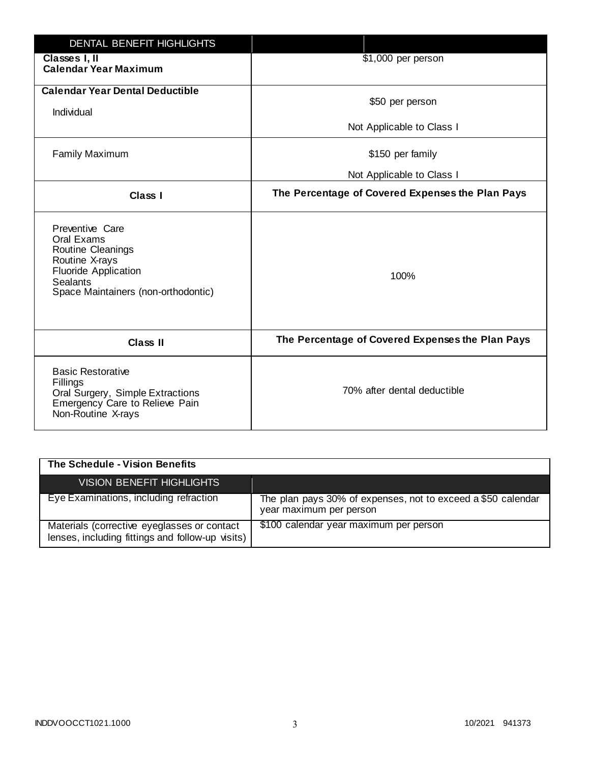| DENTAL BENEFIT HIGHLIGHTS                                                                                                                                     |                                                  |
|---------------------------------------------------------------------------------------------------------------------------------------------------------------|--------------------------------------------------|
| Classes I, II<br><b>Calendar Year Maximum</b>                                                                                                                 | \$1,000 per person                               |
| <b>Calendar Year Dental Deductible</b><br>Individual                                                                                                          | \$50 per person                                  |
|                                                                                                                                                               | Not Applicable to Class I                        |
| <b>Family Maximum</b>                                                                                                                                         | \$150 per family                                 |
|                                                                                                                                                               | Not Applicable to Class I                        |
| <b>Class I</b>                                                                                                                                                | The Percentage of Covered Expenses the Plan Pays |
| Preventive Care<br>Oral Exams<br>Routine Cleanings<br>Routine X-rays<br><b>Fluoride Application</b><br><b>Sealants</b><br>Space Maintainers (non-orthodontic) | 100%                                             |
| <b>Class II</b>                                                                                                                                               | The Percentage of Covered Expenses the Plan Pays |
| <b>Basic Restorative</b><br>Fillings<br>Oral Surgery, Simple Extractions<br>Emergency Care to Relieve Pain<br>Non-Routine X-rays                              | 70% after dental deductible                      |

| The Schedule - Vision Benefits                                                                  |                                                                                         |
|-------------------------------------------------------------------------------------------------|-----------------------------------------------------------------------------------------|
| VISION BENEFIT HIGHLIGHTS                                                                       |                                                                                         |
| Eye Examinations, including refraction                                                          | The plan pays 30% of expenses, not to exceed a \$50 calendar<br>year maximum per person |
| Materials (corrective eyeglasses or contact<br>lenses, including fittings and follow-up visits) | \$100 calendar year maximum per person                                                  |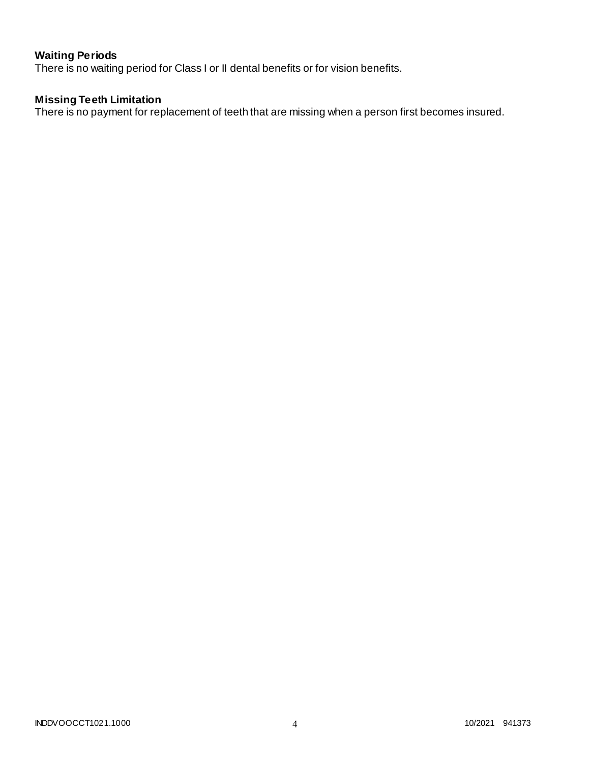# **Waiting Periods**

There is no waiting period for Class I or II dental benefits or for vision benefits.

### **Missing Teeth Limitation**

There is no payment for replacement of teeth that are missing when a person first becomes insured.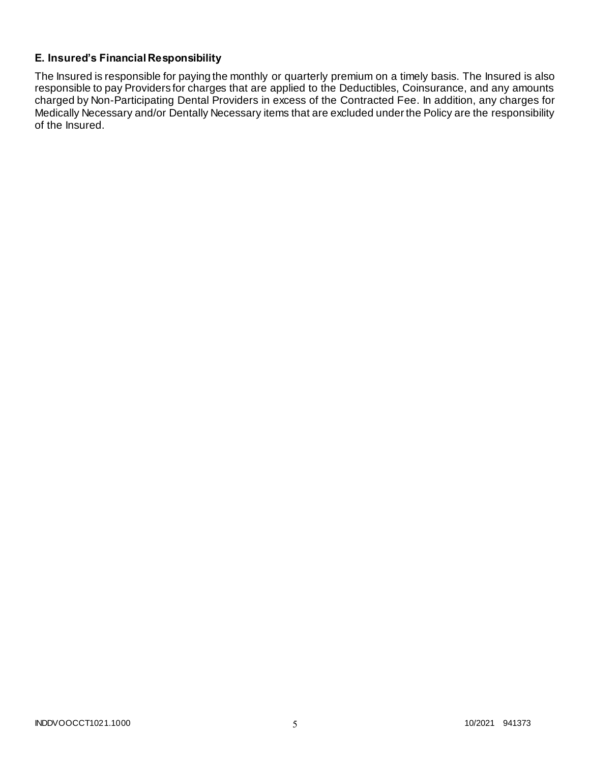# **E. Insured's Financial Responsibility**

The Insured is responsible for paying the monthly or quarterly premium on a timely basis. The Insured is also responsible to pay Providers for charges that are applied to the Deductibles, Coinsurance, and any amounts charged by Non-Participating Dental Providers in excess of the Contracted Fee. In addition, any charges for Medically Necessary and/or Dentally Necessary items that are excluded under the Policy are the responsibility of the Insured.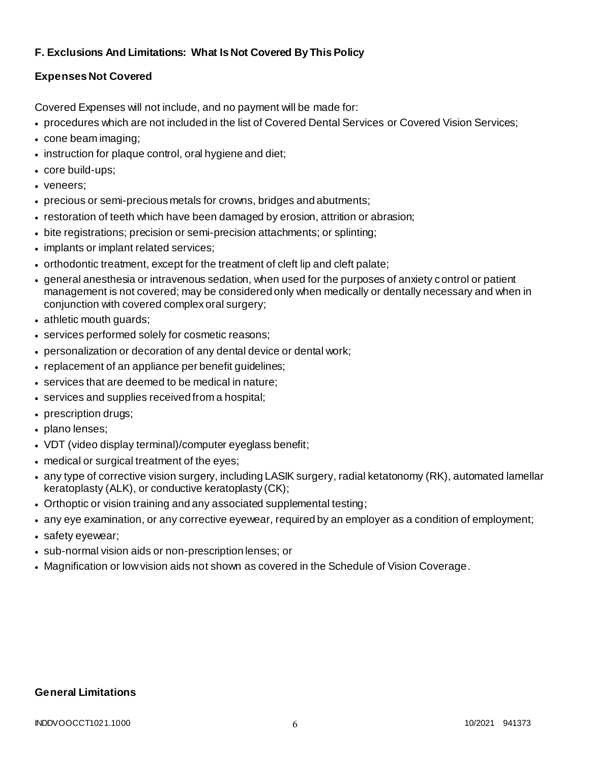# **F. Exclusions And Limitations: What Is Not Covered By This Policy**

# **Expenses Not Covered**

Covered Expenses will not include, and no payment will be made for:

- procedures which are not included in the list of Covered Dental Services or Covered Vision Services;
- cone beam imaging;
- instruction for plaque control, oral hygiene and diet;
- core build-ups;
- veneers;
- precious or semi-precious metals for crowns, bridges and abutments;
- restoration of teeth which have been damaged by erosion, attrition or abrasion;
- bite registrations; precision or semi-precision attachments; or splinting;
- implants or implant related services;
- orthodontic treatment, except for the treatment of cleft lip and cleft palate;
- general anesthesia or intravenous sedation, when used for the purposes of anxiety control or patient management is not covered; may be considered only when medically or dentally necessary and when in conjunction with covered complex oral surgery;
- athletic mouth guards;
- services performed solely for cosmetic reasons;
- personalization or decoration of any dental device or dental work;
- replacement of an appliance per benefit quidelines;
- services that are deemed to be medical in nature;
- services and supplies received from a hospital;
- prescription drugs;
- plano lenses;
- VDT (video display terminal)/computer eyeglass benefit;
- medical or surgical treatment of the eyes;
- any type of corrective vision surgery, including LASIK surgery, radial ketatonomy (RK), automated lamellar keratoplasty (ALK), or conductive keratoplasty (CK);
- Orthoptic or vision training and any associated supplemental testing;
- any eye examination, or any corrective eyewear, required by an employer as a condition of employment;
- safety eyewear;
- sub-normal vision aids or non-prescription lenses; or
- Magnification or low vision aids not shown as covered in the Schedule of Vision Coverage.

# **General Limitations**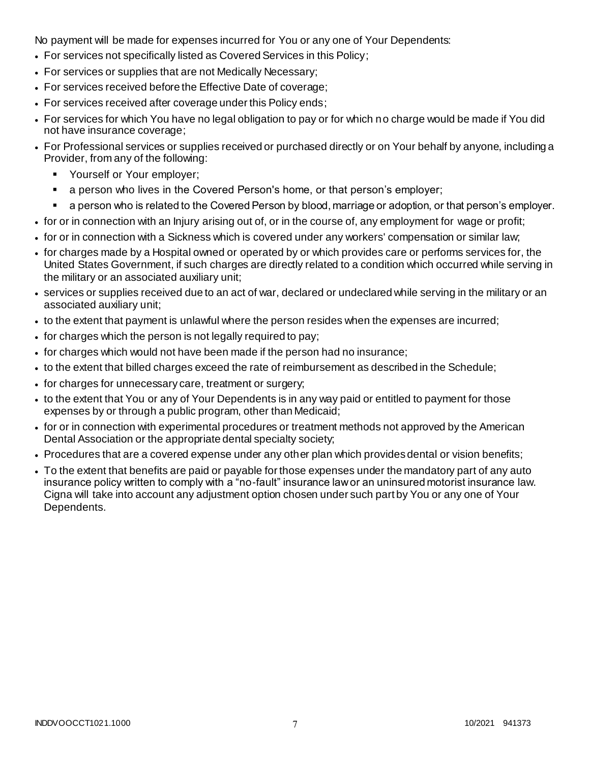No payment will be made for expenses incurred for You or any one of Your Dependents:

- For services not specifically listed as Covered Services in this Policy;
- For services or supplies that are not Medically Necessary;
- For services received before the Effective Date of coverage;
- For services received after coverage under this Policy ends;
- For services for which You have no legal obligation to pay or for which no charge would be made if You did not have insurance coverage;
- For Professional services or supplies received or purchased directly or on Your behalf by anyone, including a Provider, from any of the following:
	- **Yourself or Your employer;**
	- a person who lives in the Covered Person's home, or that person's employer;
	- a person who is related to the Covered Person by blood, marriage or adoption, or that person's employer.
- for or in connection with an Injury arising out of, or in the course of, any employment for wage or profit;
- for or in connection with a Sickness which is covered under any workers' compensation or similar law;
- for charges made by a Hospital owned or operated by or which provides care or performs services for, the United States Government, if such charges are directly related to a condition which occurred while serving in the military or an associated auxiliary unit;
- services or supplies received due to an act of war, declared or undeclared while serving in the military or an associated auxiliary unit;
- to the extent that payment is unlawful where the person resides when the expenses are incurred;
- for charges which the person is not legally required to pay;
- for charges which would not have been made if the person had no insurance;
- to the extent that billed charges exceed the rate of reimbursement as described in the Schedule;
- for charges for unnecessary care, treatment or surgery;
- to the extent that You or any of Your Dependents is in any way paid or entitled to payment for those expenses by or through a public program, other than Medicaid;
- for or in connection with experimental procedures or treatment methods not approved by the American Dental Association or the appropriate dental specialty society;
- Procedures that are a covered expense under any other plan which provides dental or vision benefits;
- To the extent that benefits are paid or payable for those expenses under the mandatory part of any auto insurance policy written to comply with a "no-fault" insurance law or an uninsured motorist insurance law. Cigna will take into account any adjustment option chosen under such part by You or any one of Your Dependents.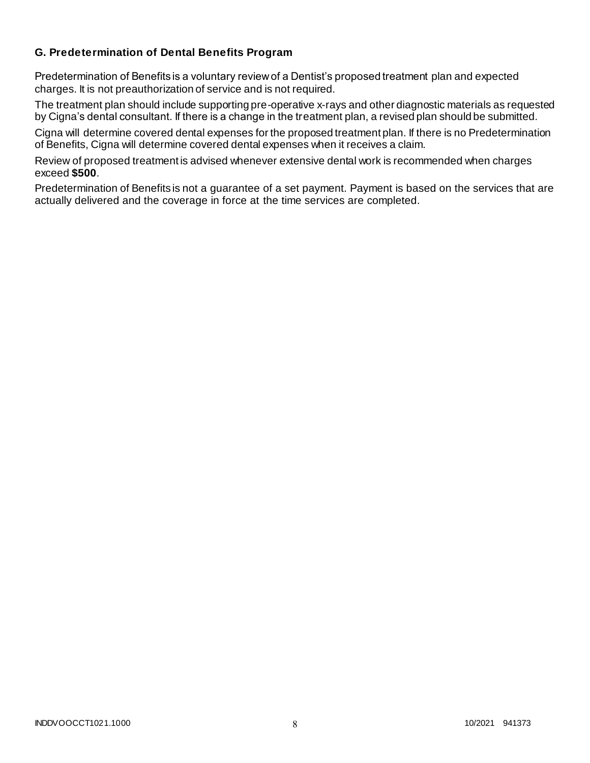### **G. Predetermination of Dental Benefits Program**

Predetermination of Benefits is a voluntary review of a Dentist's proposed treatment plan and expected charges. It is not preauthorization of service and is not required.

The treatment plan should include supporting pre-operative x-rays and other diagnostic materials as requested by Cigna's dental consultant. If there is a change in the treatment plan, a revised plan should be submitted.

Cigna will determine covered dental expenses for the proposed treatment plan. If there is no Predetermination of Benefits, Cigna will determine covered dental expenses when it receives a claim.

Review of proposed treatment is advised whenever extensive dental work is recommended when charges exceed **\$500**.

Predetermination of Benefits is not a guarantee of a set payment. Payment is based on the services that are actually delivered and the coverage in force at the time services are completed.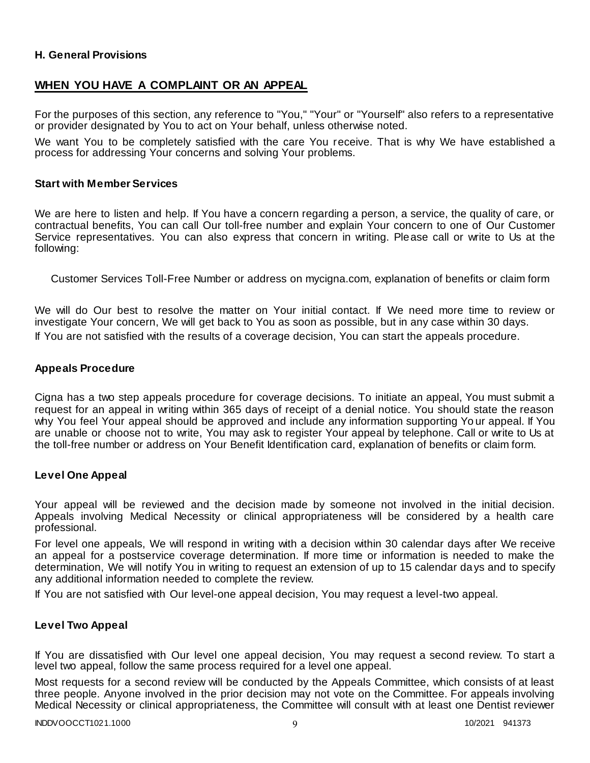### **H. General Provisions**

### **WHEN YOU HAVE A COMPLAINT OR AN APPEAL**

For the purposes of this section, any reference to "You," "Your" or "Yourself" also refers to a representative or provider designated by You to act on Your behalf, unless otherwise noted.

We want You to be completely satisfied with the care You receive. That is why We have established a process for addressing Your concerns and solving Your problems.

#### **Start with Member Services**

We are here to listen and help. If You have a concern regarding a person, a service, the quality of care, or contractual benefits, You can call Our toll-free number and explain Your concern to one of Our Customer Service representatives. You can also express that concern in writing. Please call or write to Us at the following:

Customer Services Toll-Free Number or address on mycigna.com, explanation of benefits or claim form

We will do Our best to resolve the matter on Your initial contact. If We need more time to review or investigate Your concern, We will get back to You as soon as possible, but in any case within 30 days. If You are not satisfied with the results of a coverage decision, You can start the appeals procedure.

#### **Appeals Procedure**

Cigna has a two step appeals procedure for coverage decisions. To initiate an appeal, You must submit a request for an appeal in writing within 365 days of receipt of a denial notice. You should state the reason why You feel Your appeal should be approved and include any information supporting Yo ur appeal. If You are unable or choose not to write, You may ask to register Your appeal by telephone. Call or write to Us at the toll-free number or address on Your Benefit Identification card, explanation of benefits or claim form.

#### **Level One Appeal**

Your appeal will be reviewed and the decision made by someone not involved in the initial decision. Appeals involving Medical Necessity or clinical appropriateness will be considered by a health care professional.

For level one appeals, We will respond in writing with a decision within 30 calendar days after We receive an appeal for a postservice coverage determination. If more time or information is needed to make the determination, We will notify You in writing to request an extension of up to 15 calendar days and to specify any additional information needed to complete the review.

If You are not satisfied with Our level-one appeal decision, You may request a level-two appeal.

### **Level Two Appeal**

If You are dissatisfied with Our level one appeal decision, You may request a second review. To start a level two appeal, follow the same process required for a level one appeal.

Most requests for a second review will be conducted by the Appeals Committee, which consists of at least three people. Anyone involved in the prior decision may not vote on the Committee. For appeals involving Medical Necessity or clinical appropriateness, the Committee will consult with at least one Dentist reviewer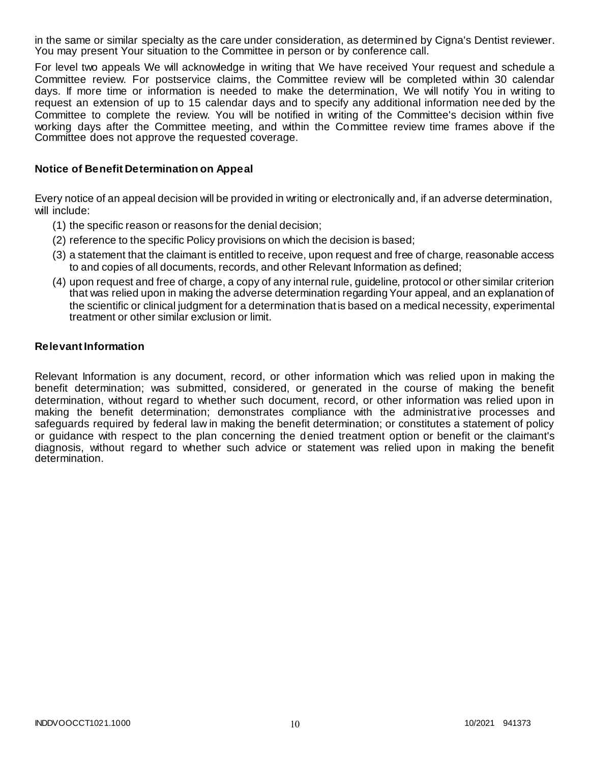in the same or similar specialty as the care under consideration, as determined by Cigna's Dentist reviewer. You may present Your situation to the Committee in person or by conference call.

For level two appeals We will acknowledge in writing that We have received Your request and schedule a Committee review. For postservice claims, the Committee review will be completed within 30 calendar days. If more time or information is needed to make the determination, We will notify You in writing to request an extension of up to 15 calendar days and to specify any additional information nee ded by the Committee to complete the review. You will be notified in writing of the Committee's decision within five working days after the Committee meeting, and within the Committee review time frames above if the Committee does not approve the requested coverage.

### **Notice of Benefit Determination on Appeal**

Every notice of an appeal decision will be provided in writing or electronically and, if an adverse determination, will include:

- (1) the specific reason or reasons for the denial decision;
- (2) reference to the specific Policy provisions on which the decision is based;
- (3) a statement that the claimant is entitled to receive, upon request and free of charge, reasonable access to and copies of all documents, records, and other Relevant Information as defined;
- (4) upon request and free of charge, a copy of any internal rule, guideline, protocol or other similar criterion that was relied upon in making the adverse determination regarding Your appeal, and an explanation of the scientific or clinical judgment for a determination that is based on a medical necessity, experimental treatment or other similar exclusion or limit.

#### **Relevant Information**

Relevant Information is any document, record, or other information which was relied upon in making the benefit determination; was submitted, considered, or generated in the course of making the benefit determination, without regard to whether such document, record, or other information was relied upon in making the benefit determination; demonstrates compliance with the administrative processes and safeguards required by federal law in making the benefit determination; or constitutes a statement of policy or guidance with respect to the plan concerning the denied treatment option or benefit or the claimant's diagnosis, without regard to whether such advice or statement was relied upon in making the benefit determination.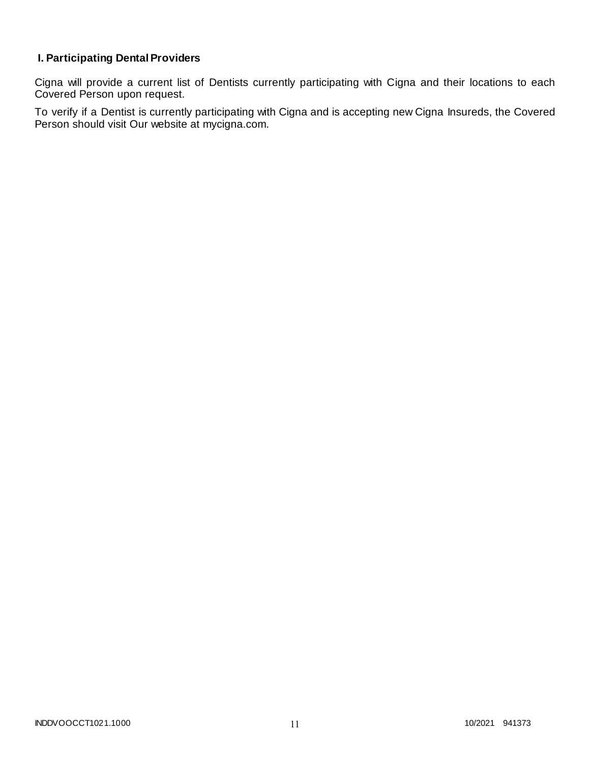# **I. Participating Dental Providers**

Cigna will provide a current list of Dentists currently participating with Cigna and their locations to each Covered Person upon request.

To verify if a Dentist is currently participating with Cigna and is accepting new Cigna Insureds, the Covered Person should visit Our website at mycigna.com.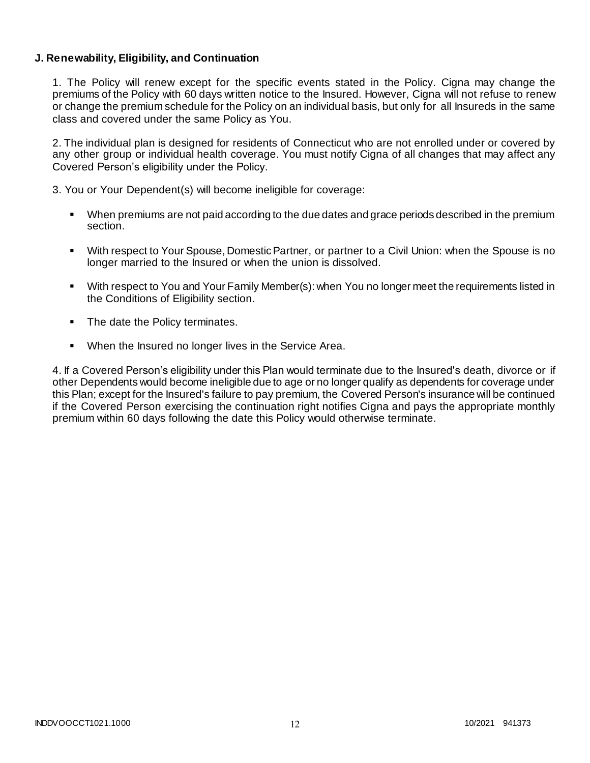### **J. Renewability, Eligibility, and Continuation**

1. The Policy will renew except for the specific events stated in the Policy. Cigna may change the premiums of the Policy with 60 days written notice to the Insured. However, Cigna will not refuse to renew or change the premium schedule for the Policy on an individual basis, but only for all Insureds in the same class and covered under the same Policy as You.

2. The individual plan is designed for residents of Connecticut who are not enrolled under or covered by any other group or individual health coverage. You must notify Cigna of all changes that may affect any Covered Person's eligibility under the Policy.

3. You or Your Dependent(s) will become ineligible for coverage:

- When premiums are not paid according to the due dates and grace periods described in the premium section.
- With respect to Your Spouse, Domestic Partner, or partner to a Civil Union: when the Spouse is no longer married to the Insured or when the union is dissolved.
- With respect to You and Your Family Member(s): when You no longer meet the requirements listed in the Conditions of Eligibility section.
- The date the Policy terminates.
- When the Insured no longer lives in the Service Area.

4. If a Covered Person's eligibility under this Plan would terminate due to the Insured's death, divorce or if other Dependents would become ineligible due to age or no longer qualify as dependents for coverage under this Plan; except for the Insured's failure to pay premium, the Covered Person's insurance will be continued if the Covered Person exercising the continuation right notifies Cigna and pays the appropriate monthly premium within 60 days following the date this Policy would otherwise terminate.